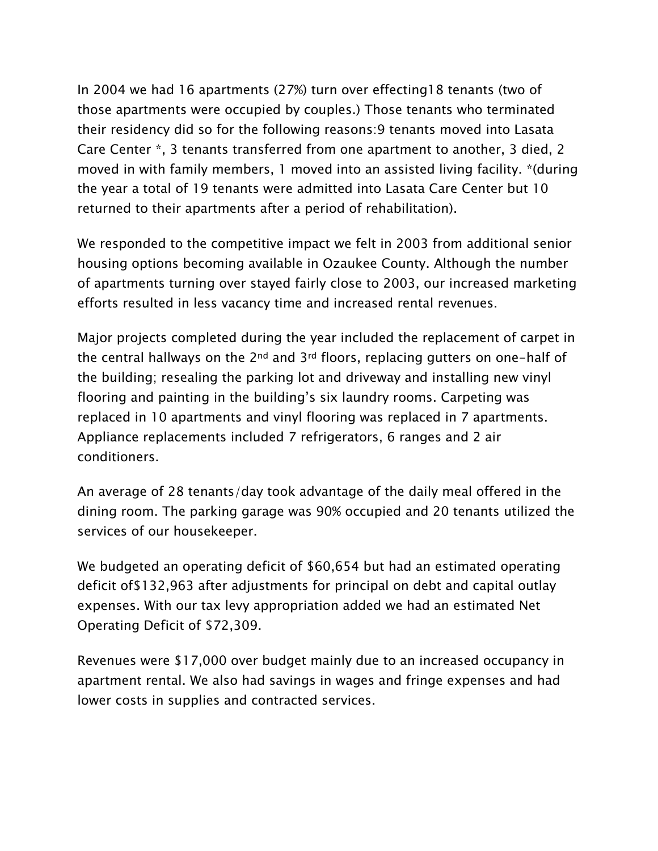In 2004 we had 16 apartments (27%) turn over effecting18 tenants (two of those apartments were occupied by couples.) Those tenants who terminated their residency did so for the following reasons:9 tenants moved into Lasata Care Center \*, 3 tenants transferred from one apartment to another, 3 died, 2 moved in with family members, 1 moved into an assisted living facility. \*(during the year a total of 19 tenants were admitted into Lasata Care Center but 10 returned to their apartments after a period of rehabilitation).

We responded to the competitive impact we felt in 2003 from additional senior housing options becoming available in Ozaukee County. Although the number of apartments turning over stayed fairly close to 2003, our increased marketing efforts resulted in less vacancy time and increased rental revenues.

Major projects completed during the year included the replacement of carpet in the central hallways on the  $2^{nd}$  and  $3^{rd}$  floors, replacing gutters on one-half of the building; resealing the parking lot and driveway and installing new vinyl flooring and painting in the building's six laundry rooms. Carpeting was replaced in 10 apartments and vinyl flooring was replaced in 7 apartments. Appliance replacements included 7 refrigerators, 6 ranges and 2 air conditioners.

An average of 28 tenants/day took advantage of the daily meal offered in the dining room. The parking garage was 90% occupied and 20 tenants utilized the services of our housekeeper.

We budgeted an operating deficit of \$60,654 but had an estimated operating deficit of\$132,963 after adjustments for principal on debt and capital outlay expenses. With our tax levy appropriation added we had an estimated Net Operating Deficit of \$72,309.

Revenues were \$17,000 over budget mainly due to an increased occupancy in apartment rental. We also had savings in wages and fringe expenses and had lower costs in supplies and contracted services.